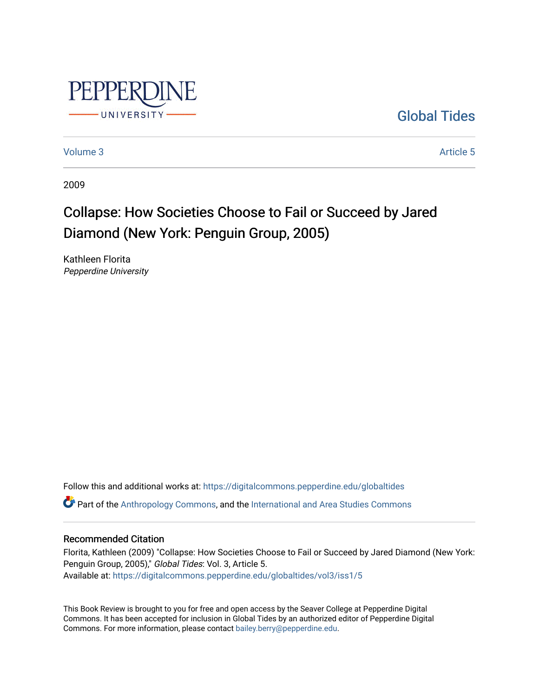

[Global Tides](https://digitalcommons.pepperdine.edu/globaltides) 

[Volume 3](https://digitalcommons.pepperdine.edu/globaltides/vol3) Article 5

2009

## Collapse: How Societies Choose to Fail or Succeed by Jared Diamond (New York: Penguin Group, 2005)

Kathleen Florita Pepperdine University

Follow this and additional works at: [https://digitalcommons.pepperdine.edu/globaltides](https://digitalcommons.pepperdine.edu/globaltides?utm_source=digitalcommons.pepperdine.edu%2Fglobaltides%2Fvol3%2Fiss1%2F5&utm_medium=PDF&utm_campaign=PDFCoverPages)   $\bullet$  Part of the [Anthropology Commons](http://network.bepress.com/hgg/discipline/318?utm_source=digitalcommons.pepperdine.edu%2Fglobaltides%2Fvol3%2Fiss1%2F5&utm_medium=PDF&utm_campaign=PDFCoverPages), and the International and Area Studies Commons

### Recommended Citation

Florita, Kathleen (2009) "Collapse: How Societies Choose to Fail or Succeed by Jared Diamond (New York: Penguin Group, 2005)," Global Tides: Vol. 3, Article 5. Available at: [https://digitalcommons.pepperdine.edu/globaltides/vol3/iss1/5](https://digitalcommons.pepperdine.edu/globaltides/vol3/iss1/5?utm_source=digitalcommons.pepperdine.edu%2Fglobaltides%2Fvol3%2Fiss1%2F5&utm_medium=PDF&utm_campaign=PDFCoverPages) 

This Book Review is brought to you for free and open access by the Seaver College at Pepperdine Digital Commons. It has been accepted for inclusion in Global Tides by an authorized editor of Pepperdine Digital Commons. For more information, please contact [bailey.berry@pepperdine.edu](mailto:bailey.berry@pepperdine.edu).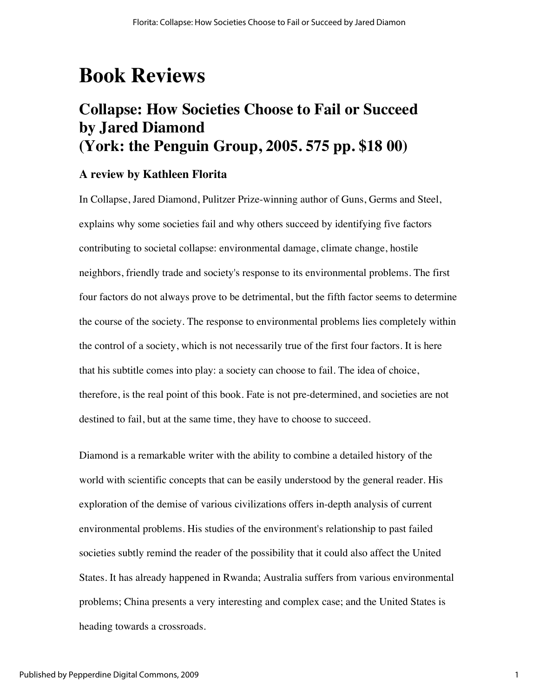# **Book Reviews**

### **Collapse: How Societies Choose to Fail or Succeed by Jared Diamond (York: the Penguin Group, 2005. 575 pp. \$18 00)**

### **A review by Kathleen Florita**

In Collapse, Jared Diamond, Pulitzer Prize-winning author of Guns, Germs and Steel, explains why some societies fail and why others succeed by identifying five factors contributing to societal collapse: environmental damage, climate change, hostile neighbors, friendly trade and society's response to its environmental problems. The first four factors do not always prove to be detrimental, but the fifth factor seems to determine the course of the society. The response to environmental problems lies completely within the control of a society, which is not necessarily true of the first four factors. It is here that his subtitle comes into play: a society can choose to fail. The idea of choice, therefore, is the real point of this book. Fate is not pre-determined, and societies are not destined to fail, but at the same time, they have to choose to succeed.

Diamond is a remarkable writer with the ability to combine a detailed history of the world with scientific concepts that can be easily understood by the general reader. His exploration of the demise of various civilizations offers in-depth analysis of current environmental problems. His studies of the environment's relationship to past failed societies subtly remind the reader of the possibility that it could also affect the United States. It has already happened in Rwanda; Australia suffers from various environmental problems; China presents a very interesting and complex case; and the United States is heading towards a crossroads.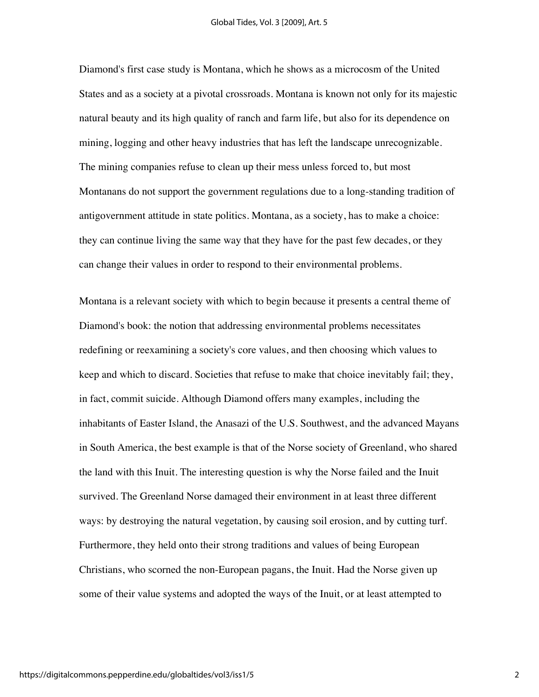Diamond's first case study is Montana, which he shows as a microcosm of the United States and as a society at a pivotal crossroads. Montana is known not only for its majestic natural beauty and its high quality of ranch and farm life, but also for its dependence on mining, logging and other heavy industries that has left the landscape unrecognizable. The mining companies refuse to clean up their mess unless forced to, but most Montanans do not support the government regulations due to a long-standing tradition of antigovernment attitude in state politics. Montana, as a society, has to make a choice: they can continue living the same way that they have for the past few decades, or they can change their values in order to respond to their environmental problems.

Montana is a relevant society with which to begin because it presents a central theme of Diamond's book: the notion that addressing environmental problems necessitates redefining or reexamining a society's core values, and then choosing which values to keep and which to discard. Societies that refuse to make that choice inevitably fail; they, in fact, commit suicide. Although Diamond offers many examples, including the inhabitants of Easter Island, the Anasazi of the U.S. Southwest, and the advanced Mayans in South America, the best example is that of the Norse society of Greenland, who shared the land with this Inuit. The interesting question is why the Norse failed and the Inuit survived. The Greenland Norse damaged their environment in at least three different ways: by destroying the natural vegetation, by causing soil erosion, and by cutting turf. Furthermore, they held onto their strong traditions and values of being European Christians, who scorned the non-European pagans, the Inuit. Had the Norse given up some of their value systems and adopted the ways of the Inuit, or at least attempted to

2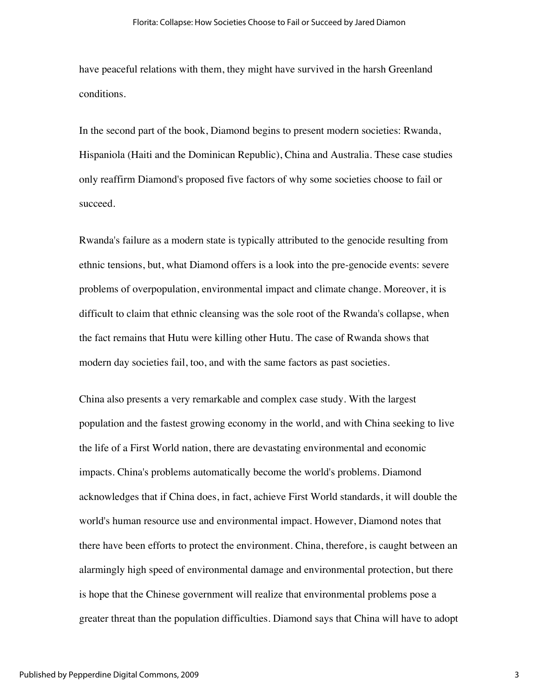have peaceful relations with them, they might have survived in the harsh Greenland conditions.

In the second part of the book, Diamond begins to present modern societies: Rwanda, Hispaniola (Haiti and the Dominican Republic), China and Australia. These case studies only reaffirm Diamond's proposed five factors of why some societies choose to fail or succeed.

Rwanda's failure as a modern state is typically attributed to the genocide resulting from ethnic tensions, but, what Diamond offers is a look into the pre-genocide events: severe problems of overpopulation, environmental impact and climate change. Moreover, it is difficult to claim that ethnic cleansing was the sole root of the Rwanda's collapse, when the fact remains that Hutu were killing other Hutu. The case of Rwanda shows that modern day societies fail, too, and with the same factors as past societies.

China also presents a very remarkable and complex case study. With the largest population and the fastest growing economy in the world, and with China seeking to live the life of a First World nation, there are devastating environmental and economic impacts. China's problems automatically become the world's problems. Diamond acknowledges that if China does, in fact, achieve First World standards, it will double the world's human resource use and environmental impact. However, Diamond notes that there have been efforts to protect the environment. China, therefore, is caught between an alarmingly high speed of environmental damage and environmental protection, but there is hope that the Chinese government will realize that environmental problems pose a greater threat than the population difficulties. Diamond says that China will have to adopt

3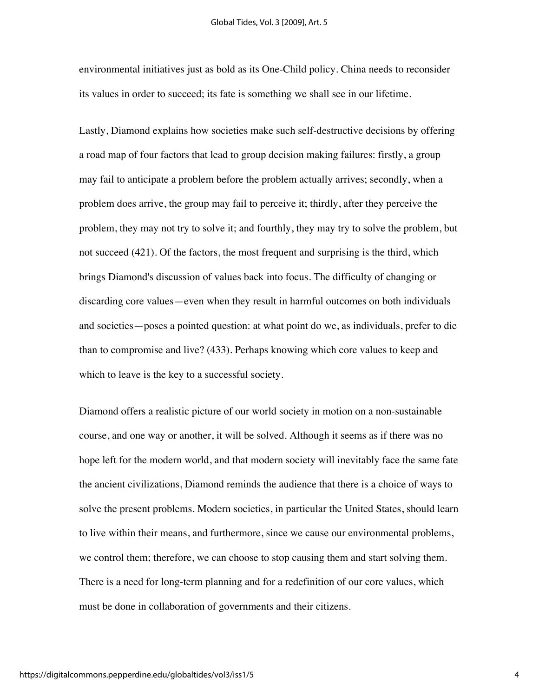#### Global Tides, Vol. 3 [2009], Art. 5

environmental initiatives just as bold as its One-Child policy. China needs to reconsider its values in order to succeed; its fate is something we shall see in our lifetime.

Lastly, Diamond explains how societies make such self-destructive decisions by offering a road map of four factors that lead to group decision making failures: firstly, a group may fail to anticipate a problem before the problem actually arrives; secondly, when a problem does arrive, the group may fail to perceive it; thirdly, after they perceive the problem, they may not try to solve it; and fourthly, they may try to solve the problem, but not succeed (421). Of the factors, the most frequent and surprising is the third, which brings Diamond's discussion of values back into focus. The difficulty of changing or discarding core values—even when they result in harmful outcomes on both individuals and societies—poses a pointed question: at what point do we, as individuals, prefer to die than to compromise and live? (433). Perhaps knowing which core values to keep and which to leave is the key to a successful society.

Diamond offers a realistic picture of our world society in motion on a non-sustainable course, and one way or another, it will be solved. Although it seems as if there was no hope left for the modern world, and that modern society will inevitably face the same fate the ancient civilizations, Diamond reminds the audience that there is a choice of ways to solve the present problems. Modern societies, in particular the United States, should learn to live within their means, and furthermore, since we cause our environmental problems, we control them; therefore, we can choose to stop causing them and start solving them. There is a need for long-term planning and for a redefinition of our core values, which must be done in collaboration of governments and their citizens.

4